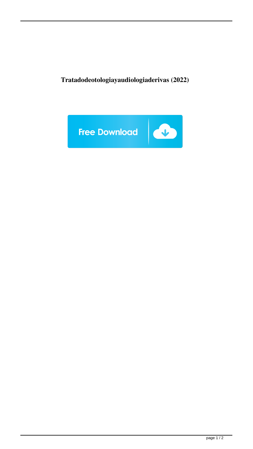**Tratadodeotologiayaudiologiaderivas (2022)**